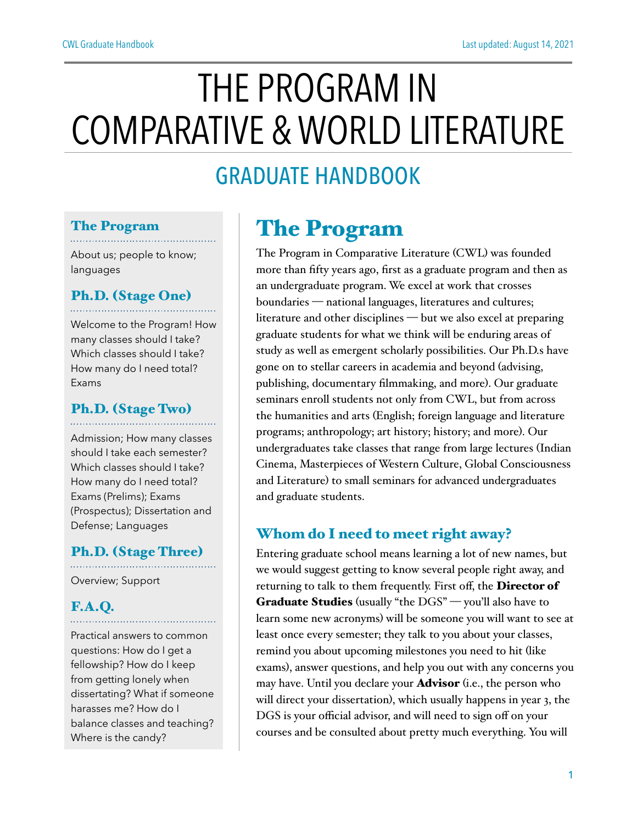# THE PROGRAM IN COMPARATIVE & WORLD LITERATURE

## GRADUATE HANDBOOK

### The Program

About us; people to know; languages

#### Ph.D. (Stage One)

Welcome to the Program! How many classes should I take? Which classes should I take? How many do I need total? Exams

#### Ph.D. (Stage Two)

Admission; How many classes should I take each semester? Which classes should I take? How many do I need total? Exams (Prelims); Exams (Prospectus); Dissertation and Defense; Languages

#### Ph.D. (Stage Three)

Overview; Support

#### F.A.Q.

Practical answers to common questions: How do I get a fellowship? How do I keep from getting lonely when dissertating? What if someone harasses me? How do I balance classes and teaching? Where is the candy?

. . . . . . . . . . . . . . . . . . .

### The Program

The Program in Comparative Literature (CWL) was founded more than fifty years ago, first as a graduate program and then as an undergraduate program. We excel at work that crosses boundaries — national languages, literatures and cultures; literature and other disciplines — but we also excel at preparing graduate students for what we think will be enduring areas of study as well as emergent scholarly possibilities. Our Ph.D.s have gone on to stellar careers in academia and beyond (advising, publishing, documentary filmmaking, and more). Our graduate seminars enroll students not only from CWL, but from across the humanities and arts (English; foreign language and literature programs; anthropology; art history; history; and more). Our undergraduates take classes that range from large lectures (Indian Cinema, Masterpieces of Western Culture, Global Consciousness and Literature) to small seminars for advanced undergraduates and graduate students.

#### Whom do I need to meet right away?

Entering graduate school means learning a lot of new names, but we would suggest getting to know several people right away, and returning to talk to them frequently. First off, the Director of Graduate Studies (usually "the DGS" — you'll also have to learn some new acronyms) will be someone you will want to see at least once every semester; they talk to you about your classes, remind you about upcoming milestones you need to hit (like exams), answer questions, and help you out with any concerns you may have. Until you declare your **Advisor** (i.e., the person who will direct your dissertation), which usually happens in year 3, the DGS is your official advisor, and will need to sign off on your courses and be consulted about pretty much everything. You will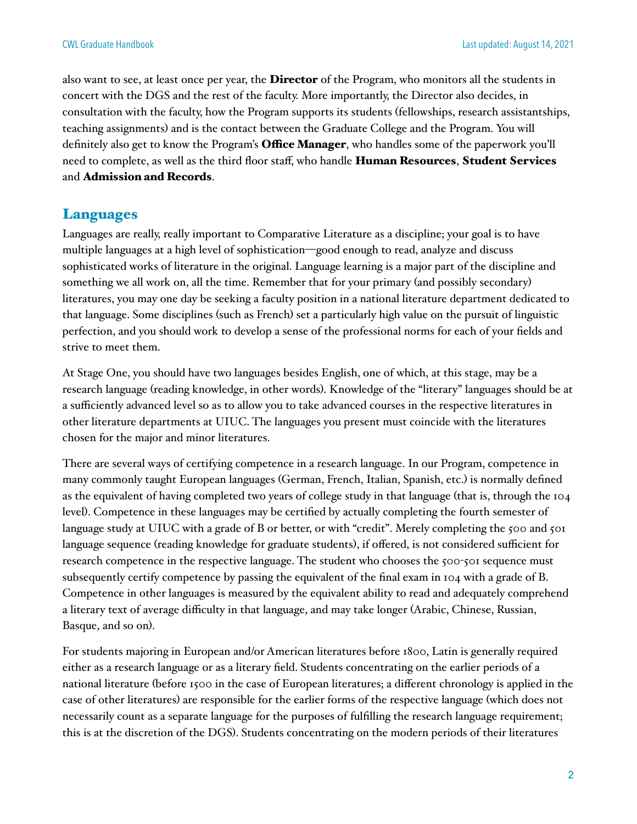also want to see, at least once per year, the **Director** of the Program, who monitors all the students in concert with the DGS and the rest of the faculty. More importantly, the Director also decides, in consultation with the faculty, how the Program supports its students (fellowships, research assistantships, teaching assignments) and is the contact between the Graduate College and the Program. You will definitely also get to know the Program's **Office Manager**, who handles some of the paperwork you'll need to complete, as well as the third floor staff, who handle Human Resources, Student Services and Admission and Records.

#### Languages

Languages are really, really important to Comparative Literature as a discipline; your goal is to have multiple languages at a high level of sophistication—good enough to read, analyze and discuss sophisticated works of literature in the original. Language learning is a major part of the discipline and something we all work on, all the time. Remember that for your primary (and possibly secondary) literatures, you may one day be seeking a faculty position in a national literature department dedicated to that language. Some disciplines (such as French) set a particularly high value on the pursuit of linguistic perfection, and you should work to develop a sense of the professional norms for each of your fields and strive to meet them.

At Stage One, you should have two languages besides English, one of which, at this stage, may be a research language (reading knowledge, in other words). Knowledge of the "literary" languages should be at a sufficiently advanced level so as to allow you to take advanced courses in the respective literatures in other literature departments at UIUC. The languages you present must coincide with the literatures chosen for the major and minor literatures.

There are several ways of certifying competence in a research language. In our Program, competence in many commonly taught European languages (German, French, Italian, Spanish, etc.) is normally defined as the equivalent of having completed two years of college study in that language (that is, through the 104 level). Competence in these languages may be certified by actually completing the fourth semester of language study at UIUC with a grade of B or better, or with "credit". Merely completing the 500 and 501 language sequence (reading knowledge for graduate students), if offered, is not considered sufficient for research competence in the respective language. The student who chooses the 500-501 sequence must subsequently certify competence by passing the equivalent of the final exam in 104 with a grade of B. Competence in other languages is measured by the equivalent ability to read and adequately comprehend a literary text of average difficulty in that language, and may take longer (Arabic, Chinese, Russian, Basque, and so on).

For students majoring in European and/or American literatures before 1800, Latin is generally required either as a research language or as a literary field. Students concentrating on the earlier periods of a national literature (before 1500 in the case of European literatures; a different chronology is applied in the case of other literatures) are responsible for the earlier forms of the respective language (which does not necessarily count as a separate language for the purposes of fulfilling the research language requirement; this is at the discretion of the DGS). Students concentrating on the modern periods of their literatures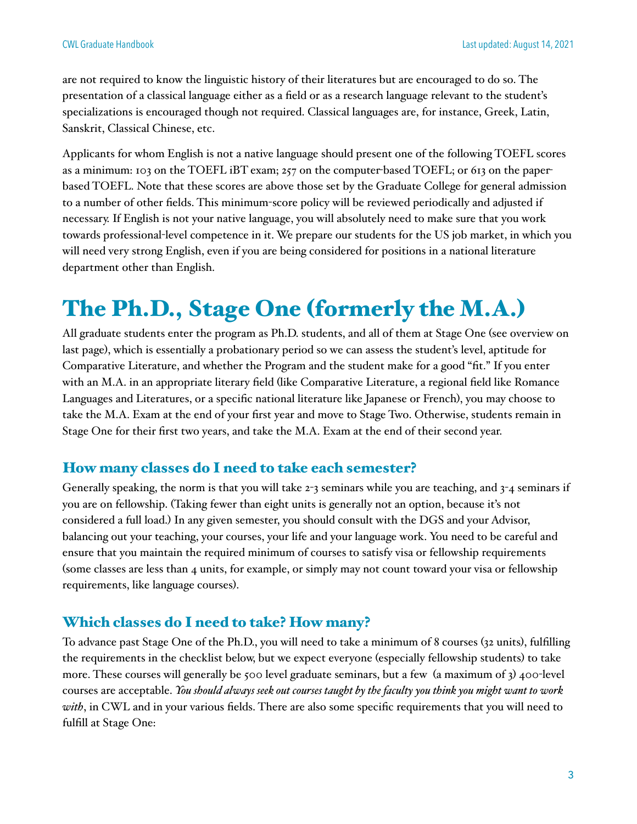are not required to know the linguistic history of their literatures but are encouraged to do so. The presentation of a classical language either as a field or as a research language relevant to the student's specializations is encouraged though not required. Classical languages are, for instance, Greek, Latin, Sanskrit, Classical Chinese, etc.

Applicants for whom English is not a native language should present one of the following TOEFL scores as a minimum: 103 on the TOEFL iBT exam; 257 on the computer-based TOEFL; or 613 on the paperbased TOEFL. Note that these scores are above those set by the Graduate College for general admission to a number of other fields. This minimum-score policy will be reviewed periodically and adjusted if necessary. If English is not your native language, you will absolutely need to make sure that you work towards professional-level competence in it. We prepare our students for the US job market, in which you will need very strong English, even if you are being considered for positions in a national literature department other than English.

## The Ph.D., Stage One (formerly the M.A.)

All graduate students enter the program as Ph.D. students, and all of them at Stage One (see overview on last page), which is essentially a probationary period so we can assess the student's level, aptitude for Comparative Literature, and whether the Program and the student make for a good "fit." If you enter with an M.A. in an appropriate literary field (like Comparative Literature, a regional field like Romance Languages and Literatures, or a specific national literature like Japanese or French), you may choose to take the M.A. Exam at the end of your first year and move to Stage Two. Otherwise, students remain in Stage One for their first two years, and take the M.A. Exam at the end of their second year.

#### How many classes do I need to take each semester?

Generally speaking, the norm is that you will take 2-3 seminars while you are teaching, and 3-4 seminars if you are on fellowship. (Taking fewer than eight units is generally not an option, because it's not considered a full load.) In any given semester, you should consult with the DGS and your Advisor, balancing out your teaching, your courses, your life and your language work. You need to be careful and ensure that you maintain the required minimum of courses to satisfy visa or fellowship requirements (some classes are less than 4 units, for example, or simply may not count toward your visa or fellowship requirements, like language courses).

#### Which classes do I need to take? How many?

To advance past Stage One of the Ph.D., you will need to take a minimum of 8 courses (32 units), fulfilling the requirements in the checklist below, but we expect everyone (especially fellowship students) to take more. These courses will generally be 500 level graduate seminars, but a few (a maximum of 3) 400-level courses are acceptable. *You should always seek out courses taught by the faculty you think you might want to work with*, in CWL and in your various fields. There are also some specific requirements that you will need to fulfill at Stage One: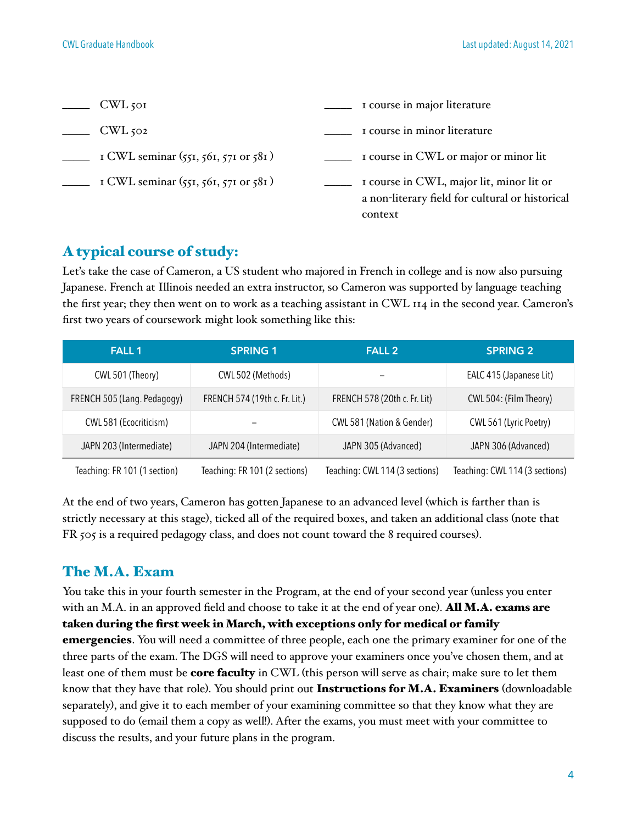| CWL <sub>501</sub>                       | I course in major literature                                                                           |
|------------------------------------------|--------------------------------------------------------------------------------------------------------|
| $CWL$ 502                                | I course in minor literature                                                                           |
| I CWL seminar $(551, 561, 571$ or $581)$ | I course in CWL or major or minor lit                                                                  |
| I CWL seminar $(551, 561, 571$ or $581)$ | I course in CWL, major lit, minor lit or<br>a non-literary field for cultural or historical<br>context |

#### A typical course of study:

Let's take the case of Cameron, a US student who majored in French in college and is now also pursuing Japanese. French at Illinois needed an extra instructor, so Cameron was supported by language teaching the first year; they then went on to work as a teaching assistant in CWL 114 in the second year. Cameron's first two years of coursework might look something like this:

| <b>FALL 1</b>                | <b>SPRING 1</b>               | <b>FALL 2</b>                  | <b>SPRING 2</b>                |
|------------------------------|-------------------------------|--------------------------------|--------------------------------|
| CWL 501 (Theory)             | CWL 502 (Methods)             |                                | EALC 415 (Japanese Lit)        |
| FRENCH 505 (Lang. Pedagogy)  | FRENCH 574 (19th c. Fr. Lit.) | FRENCH 578 (20th c. Fr. Lit)   | CWL 504: (Film Theory)         |
| CWL 581 (Ecocriticism)       |                               | CWL 581 (Nation & Gender)      | CWL 561 (Lyric Poetry)         |
| JAPN 203 (Intermediate)      | JAPN 204 (Intermediate)       | JAPN 305 (Advanced)            | JAPN 306 (Advanced)            |
| Teaching: FR 101 (1 section) | Teaching: FR 101 (2 sections) | Teaching: CWL 114 (3 sections) | Teaching: CWL 114 (3 sections) |

At the end of two years, Cameron has gotten Japanese to an advanced level (which is farther than is strictly necessary at this stage), ticked all of the required boxes, and taken an additional class (note that FR 505 is a required pedagogy class, and does not count toward the 8 required courses).

#### The M.A. Exam

You take this in your fourth semester in the Program, at the end of your second year (unless you enter with an M.A. in an approved field and choose to take it at the end of year one). **All M.A. exams are** taken during the first week in March, with exceptions only for medical or family emergencies. You will need a committee of three people, each one the primary examiner for one of the three parts of the exam. The DGS will need to approve your examiners once you've chosen them, and at least one of them must be **core faculty** in CWL (this person will serve as chair; make sure to let them know that they have that role). You should print out Instructions for M.A. Examiners (downloadable separately), and give it to each member of your examining committee so that they know what they are supposed to do (email them a copy as well!). After the exams, you must meet with your committee to discuss the results, and your future plans in the program.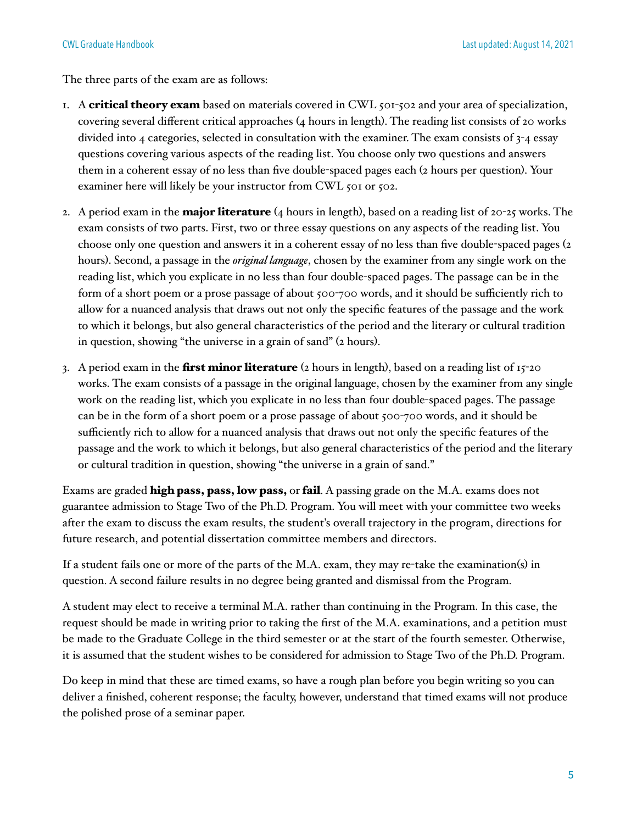The three parts of the exam are as follows:

- 1. A critical theory exam based on materials covered in CWL 501-502 and your area of specialization, covering several different critical approaches (4 hours in length). The reading list consists of 20 works divided into 4 categories, selected in consultation with the examiner. The exam consists of 3-4 essay questions covering various aspects of the reading list. You choose only two questions and answers them in a coherent essay of no less than five double-spaced pages each (2 hours per question). Your examiner here will likely be your instructor from CWL 501 or 502.
- 2. A period exam in the **major literature** (4 hours in length), based on a reading list of 20-25 works. The exam consists of two parts. First, two or three essay questions on any aspects of the reading list. You choose only one question and answers it in a coherent essay of no less than five double-spaced pages (2 hours). Second, a passage in the *original language*, chosen by the examiner from any single work on the reading list, which you explicate in no less than four double-spaced pages. The passage can be in the form of a short poem or a prose passage of about 500-700 words, and it should be sufficiently rich to allow for a nuanced analysis that draws out not only the specific features of the passage and the work to which it belongs, but also general characteristics of the period and the literary or cultural tradition in question, showing "the universe in a grain of sand" (2 hours).
- 3. A period exam in the **first minor literature** (2 hours in length), based on a reading list of  $15$ -20 works. The exam consists of a passage in the original language, chosen by the examiner from any single work on the reading list, which you explicate in no less than four double-spaced pages. The passage can be in the form of a short poem or a prose passage of about 500-700 words, and it should be sufficiently rich to allow for a nuanced analysis that draws out not only the specific features of the passage and the work to which it belongs, but also general characteristics of the period and the literary or cultural tradition in question, showing "the universe in a grain of sand."

Exams are graded **high pass, pass, low pass,** or **fail**. A passing grade on the M.A. exams does not guarantee admission to Stage Two of the Ph.D. Program. You will meet with your committee two weeks after the exam to discuss the exam results, the student's overall trajectory in the program, directions for future research, and potential dissertation committee members and directors.

If a student fails one or more of the parts of the M.A. exam, they may re-take the examination(s) in question. A second failure results in no degree being granted and dismissal from the Program.

A student may elect to receive a terminal M.A. rather than continuing in the Program. In this case, the request should be made in writing prior to taking the first of the M.A. examinations, and a petition must be made to the Graduate College in the third semester or at the start of the fourth semester. Otherwise, it is assumed that the student wishes to be considered for admission to Stage Two of the Ph.D. Program.

Do keep in mind that these are timed exams, so have a rough plan before you begin writing so you can deliver a finished, coherent response; the faculty, however, understand that timed exams will not produce the polished prose of a seminar paper.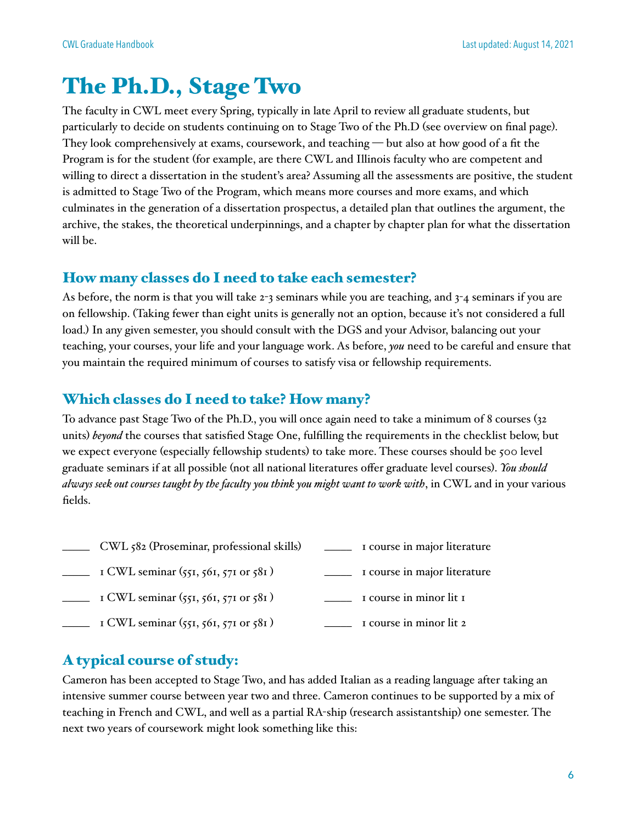### The Ph.D., Stage Two

The faculty in CWL meet every Spring, typically in late April to review all graduate students, but particularly to decide on students continuing on to Stage Two of the Ph.D (see overview on final page). They look comprehensively at exams, coursework, and teaching — but also at how good of a fit the Program is for the student (for example, are there CWL and Illinois faculty who are competent and willing to direct a dissertation in the student's area? Assuming all the assessments are positive, the student is admitted to Stage Two of the Program, which means more courses and more exams, and which culminates in the generation of a dissertation prospectus, a detailed plan that outlines the argument, the archive, the stakes, the theoretical underpinnings, and a chapter by chapter plan for what the dissertation will be.

#### How many classes do I need to take each semester?

As before, the norm is that you will take 2-3 seminars while you are teaching, and 3-4 seminars if you are on fellowship. (Taking fewer than eight units is generally not an option, because it's not considered a full load.) In any given semester, you should consult with the DGS and your Advisor, balancing out your teaching, your courses, your life and your language work. As before, *you* need to be careful and ensure that you maintain the required minimum of courses to satisfy visa or fellowship requirements.

#### Which classes do I need to take? How many?

To advance past Stage Two of the Ph.D., you will once again need to take a minimum of 8 courses (32 units) *beyond* the courses that satisfied Stage One, fulfilling the requirements in the checklist below, but we expect everyone (especially fellowship students) to take more. These courses should be 500 level graduate seminars if at all possible (not all national literatures offer graduate level courses). *You should always seek out courses taught by the faculty you think you might want to work with*, in CWL and in your various fields.

- \_\_\_\_\_ CWL 582 (Proseminar, professional skills) \_\_\_\_\_ 1 course in major literature
- $\frac{1}{\sqrt{1-\frac{1}{\sqrt{1-\frac{1}{\sqrt{1-\frac{1}{\sqrt{1-\frac{1}{\sqrt{1-\frac{1}{\sqrt{1-\frac{1}{\sqrt{1-\frac{1}{\sqrt{1-\frac{1}{\sqrt{1-\frac{1}{\sqrt{1-\frac{1}{\sqrt{1-\frac{1}{\sqrt{1-\frac{1}{\sqrt{1-\frac{1}{\sqrt{1-\frac{1}{\sqrt{1-\frac{1}{\sqrt{1-\frac{1}{\sqrt{1-\frac{1}{\sqrt{1-\frac{1}{\sqrt{1-\frac{1}{\sqrt{1-\frac{1}{\sqrt{1-\frac{1}{\sqrt{1-\frac{1}{\sqrt{1-\frac{1}{\sqrt{1-\frac{1$
- $\frac{1}{\sqrt{1-\frac{1}{\sqrt{1-\frac{1}{\sqrt{1-\frac{1}{\sqrt{1-\frac{1}{\sqrt{1-\frac{1}{\sqrt{1-\frac{1}{\sqrt{1-\frac{1}{\sqrt{1-\frac{1}{\sqrt{1-\frac{1}{\sqrt{1-\frac{1}{\sqrt{1-\frac{1}{\sqrt{1-\frac{1}{\sqrt{1-\frac{1}{\sqrt{1-\frac{1}{\sqrt{1-\frac{1}{\sqrt{1-\frac{1}{\sqrt{1-\frac{1}{\sqrt{1-\frac{1}{\sqrt{1-\frac{1}{\sqrt{1-\frac{1}{\sqrt{1-\frac{1}{\sqrt{1-\frac{1}{\sqrt{1-\frac{1}{\sqrt{1-\frac{1$
- $\frac{1}{\sqrt{1-\frac{1}{\sqrt{1-\frac{1}{\sqrt{1-\frac{1}{\sqrt{1-\frac{1}{\sqrt{1-\frac{1}{\sqrt{1-\frac{1}{\sqrt{1-\frac{1}{\sqrt{1-\frac{1}{\sqrt{1-\frac{1}{\sqrt{1-\frac{1}{\sqrt{1-\frac{1}{\sqrt{1-\frac{1}{\sqrt{1-\frac{1}{\sqrt{1-\frac{1}{\sqrt{1-\frac{1}{\sqrt{1-\frac{1}{\sqrt{1-\frac{1}{\sqrt{1-\frac{1}{\sqrt{1-\frac{1}{\sqrt{1-\frac{1}{\sqrt{1-\frac{1}{\sqrt{1-\frac{1}{\sqrt{1-\frac{1}{\sqrt{1-\frac{1$

#### A typical course of study:

Cameron has been accepted to Stage Two, and has added Italian as a reading language after taking an intensive summer course between year two and three. Cameron continues to be supported by a mix of teaching in French and CWL, and well as a partial RA-ship (research assistantship) one semester. The next two years of coursework might look something like this: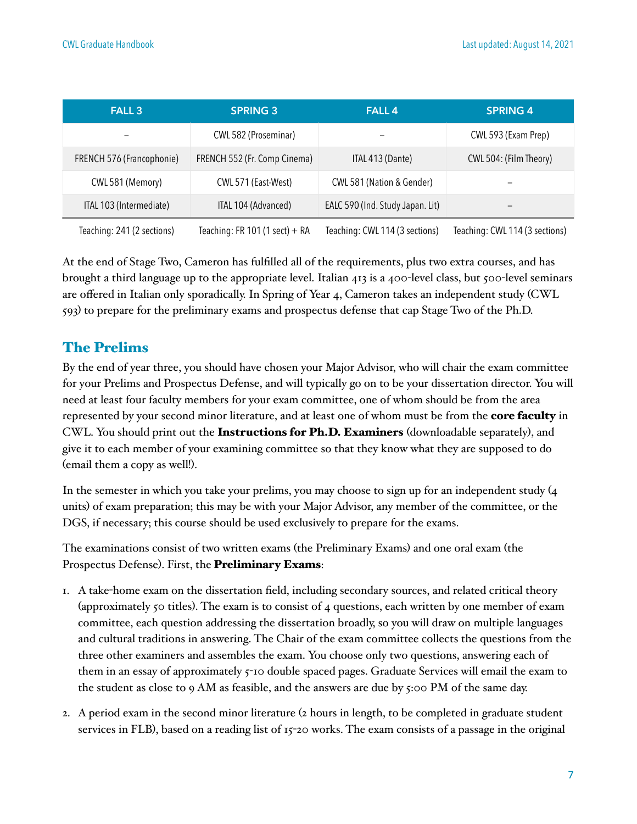| <b>FALL 3</b>              | <b>SPRING 3</b>                  | <b>FALL4</b>                     | <b>SPRING 4</b>                |
|----------------------------|----------------------------------|----------------------------------|--------------------------------|
|                            | CWL 582 (Proseminar)             |                                  | CWL 593 (Exam Prep)            |
| FRENCH 576 (Francophonie)  | FRENCH 552 (Fr. Comp Cinema)     | ITAL 413 (Dante)                 | CWL 504: (Film Theory)         |
| CWL 581 (Memory)           | CWL 571 (East-West)              | CWL 581 (Nation & Gender)        |                                |
| ITAL 103 (Intermediate)    | ITAL 104 (Advanced)              | EALC 590 (Ind. Study Japan. Lit) | -                              |
| Teaching: 241 (2 sections) | Teaching: FR 101 (1 sect) $+$ RA | Teaching: CWL 114 (3 sections)   | Teaching: CWL 114 (3 sections) |

At the end of Stage Two, Cameron has fulfilled all of the requirements, plus two extra courses, and has brought a third language up to the appropriate level. Italian 413 is a 400-level class, but 500-level seminars are offered in Italian only sporadically. In Spring of Year 4, Cameron takes an independent study (CWL 593) to prepare for the preliminary exams and prospectus defense that cap Stage Two of the Ph.D.

#### The Prelims

By the end of year three, you should have chosen your Major Advisor, who will chair the exam committee for your Prelims and Prospectus Defense, and will typically go on to be your dissertation director. You will need at least four faculty members for your exam committee, one of whom should be from the area represented by your second minor literature, and at least one of whom must be from the **core faculty** in CWL. You should print out the Instructions for Ph.D. Examiners (downloadable separately), and give it to each member of your examining committee so that they know what they are supposed to do (email them a copy as well!).

In the semester in which you take your prelims, you may choose to sign up for an independent study (4 units) of exam preparation; this may be with your Major Advisor, any member of the committee, or the DGS, if necessary; this course should be used exclusively to prepare for the exams.

The examinations consist of two written exams (the Preliminary Exams) and one oral exam (the Prospectus Defense). First, the **Preliminary Exams**:

- 1. A take-home exam on the dissertation field, including secondary sources, and related critical theory (approximately 50 titles). The exam is to consist of 4 questions, each written by one member of exam committee, each question addressing the dissertation broadly, so you will draw on multiple languages and cultural traditions in answering. The Chair of the exam committee collects the questions from the three other examiners and assembles the exam. You choose only two questions, answering each of them in an essay of approximately 5-10 double spaced pages. Graduate Services will email the exam to the student as close to 9 AM as feasible, and the answers are due by  $5:00 \text{ PM}$  of the same day.
- 2. A period exam in the second minor literature (2 hours in length, to be completed in graduate student services in FLB), based on a reading list of 15-20 works. The exam consists of a passage in the original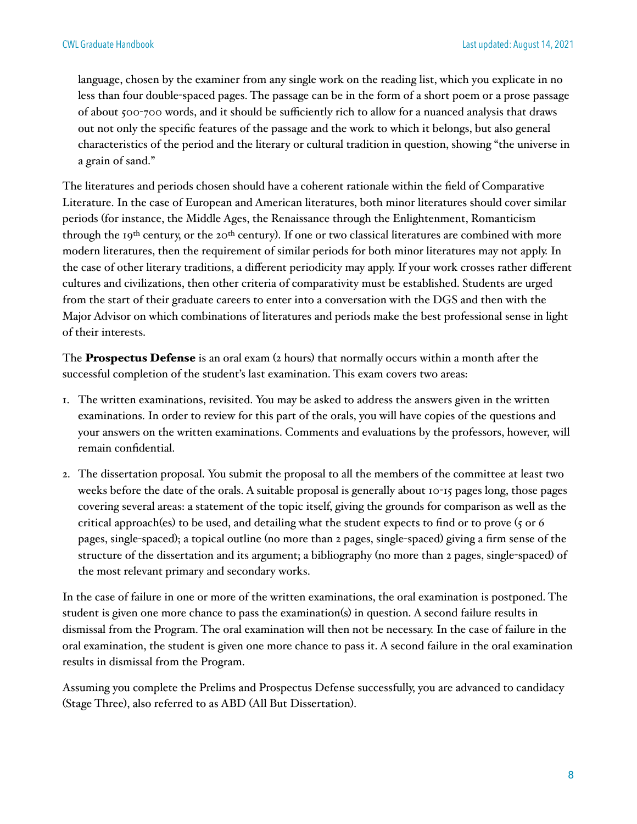language, chosen by the examiner from any single work on the reading list, which you explicate in no less than four double-spaced pages. The passage can be in the form of a short poem or a prose passage of about 500-700 words, and it should be sufficiently rich to allow for a nuanced analysis that draws out not only the specific features of the passage and the work to which it belongs, but also general characteristics of the period and the literary or cultural tradition in question, showing "the universe in a grain of sand."

The literatures and periods chosen should have a coherent rationale within the field of Comparative Literature. In the case of European and American literatures, both minor literatures should cover similar periods (for instance, the Middle Ages, the Renaissance through the Enlightenment, Romanticism through the 19<sup>th</sup> century, or the 20<sup>th</sup> century). If one or two classical literatures are combined with more modern literatures, then the requirement of similar periods for both minor literatures may not apply. In the case of other literary traditions, a different periodicity may apply. If your work crosses rather different cultures and civilizations, then other criteria of comparativity must be established. Students are urged from the start of their graduate careers to enter into a conversation with the DGS and then with the Major Advisor on which combinations of literatures and periods make the best professional sense in light of their interests.

The **Prospectus Defense** is an oral exam  $(z)$  hours) that normally occurs within a month after the successful completion of the student's last examination. This exam covers two areas:

- 1. The written examinations, revisited. You may be asked to address the answers given in the written examinations. In order to review for this part of the orals, you will have copies of the questions and your answers on the written examinations. Comments and evaluations by the professors, however, will remain confidential.
- 2. The dissertation proposal. You submit the proposal to all the members of the committee at least two weeks before the date of the orals. A suitable proposal is generally about 10-15 pages long, those pages covering several areas: a statement of the topic itself, giving the grounds for comparison as well as the critical approach(es) to be used, and detailing what the student expects to find or to prove (5 or 6 pages, single-spaced); a topical outline (no more than 2 pages, single-spaced) giving a firm sense of the structure of the dissertation and its argument; a bibliography (no more than 2 pages, single-spaced) of the most relevant primary and secondary works.

In the case of failure in one or more of the written examinations, the oral examination is postponed. The student is given one more chance to pass the examination(s) in question. A second failure results in dismissal from the Program. The oral examination will then not be necessary. In the case of failure in the oral examination, the student is given one more chance to pass it. A second failure in the oral examination results in dismissal from the Program.

Assuming you complete the Prelims and Prospectus Defense successfully, you are advanced to candidacy (Stage Three), also referred to as ABD (All But Dissertation).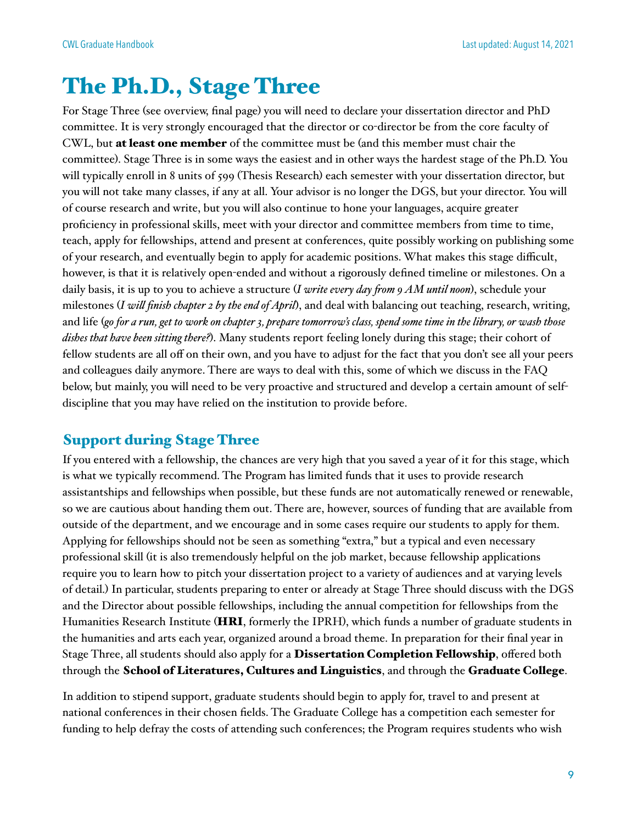### The Ph.D., Stage Three

For Stage Three (see overview, final page) you will need to declare your dissertation director and PhD committee. It is very strongly encouraged that the director or co-director be from the core faculty of CWL, but at least one member of the committee must be (and this member must chair the committee). Stage Three is in some ways the easiest and in other ways the hardest stage of the Ph.D. You will typically enroll in 8 units of 599 (Thesis Research) each semester with your dissertation director, but you will not take many classes, if any at all. Your advisor is no longer the DGS, but your director. You will of course research and write, but you will also continue to hone your languages, acquire greater proficiency in professional skills, meet with your director and committee members from time to time, teach, apply for fellowships, attend and present at conferences, quite possibly working on publishing some of your research, and eventually begin to apply for academic positions. What makes this stage difficult, however, is that it is relatively open-ended and without a rigorously defined timeline or milestones. On a daily basis, it is up to you to achieve a structure (*I write every day from 9 AM until noon*), schedule your milestones (*I will finish chapter 2 by the end of April*), and deal with balancing out teaching, research, writing, and life (*go for a run, get to work on chapter 3, prepare tomorrow's class, spend some time in the library, or wash those dishes that have been sitting there?*). Many students report feeling lonely during this stage; their cohort of fellow students are all off on their own, and you have to adjust for the fact that you don't see all your peers and colleagues daily anymore. There are ways to deal with this, some of which we discuss in the FAQ below, but mainly, you will need to be very proactive and structured and develop a certain amount of selfdiscipline that you may have relied on the institution to provide before.

#### Support during Stage Three

If you entered with a fellowship, the chances are very high that you saved a year of it for this stage, which is what we typically recommend. The Program has limited funds that it uses to provide research assistantships and fellowships when possible, but these funds are not automatically renewed or renewable, so we are cautious about handing them out. There are, however, sources of funding that are available from outside of the department, and we encourage and in some cases require our students to apply for them. Applying for fellowships should not be seen as something "extra," but a typical and even necessary professional skill (it is also tremendously helpful on the job market, because fellowship applications require you to learn how to pitch your dissertation project to a variety of audiences and at varying levels of detail.) In particular, students preparing to enter or already at Stage Three should discuss with the DGS and the Director about possible fellowships, including the annual competition for fellowships from the Humanities Research Institute (HRI, formerly the IPRH), which funds a number of graduate students in the humanities and arts each year, organized around a broad theme. In preparation for their final year in Stage Three, all students should also apply for a Dissertation Completion Fellowship, offered both through the School of Literatures, Cultures and Linguistics, and through the Graduate College.

In addition to stipend support, graduate students should begin to apply for, travel to and present at national conferences in their chosen fields. The Graduate College has a competition each semester for funding to help defray the costs of attending such conferences; the Program requires students who wish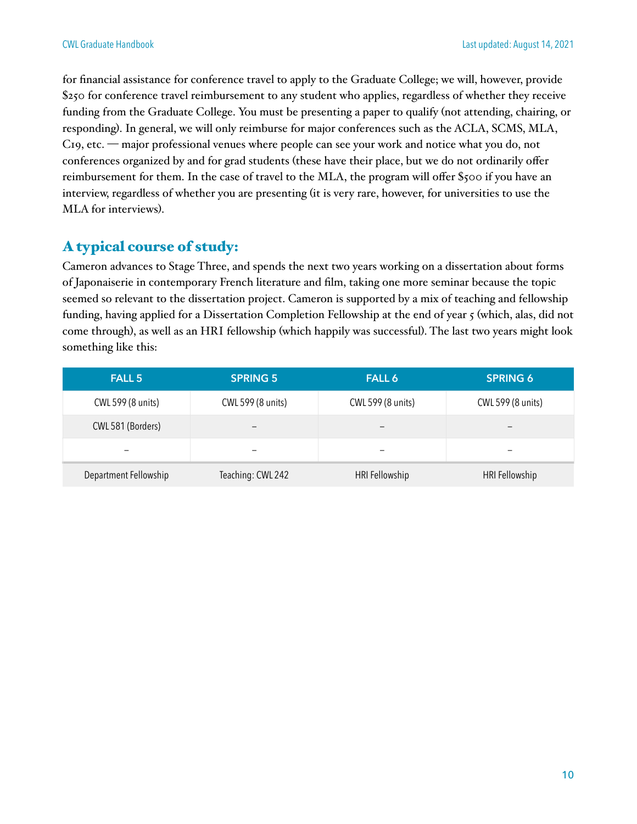for financial assistance for conference travel to apply to the Graduate College; we will, however, provide \$250 for conference travel reimbursement to any student who applies, regardless of whether they receive funding from the Graduate College. You must be presenting a paper to qualify (not attending, chairing, or responding). In general, we will only reimburse for major conferences such as the ACLA, SCMS, MLA, C19, etc. — major professional venues where people can see your work and notice what you do, not conferences organized by and for grad students (these have their place, but we do not ordinarily offer reimbursement for them. In the case of travel to the MLA, the program will offer \$500 if you have an interview, regardless of whether you are presenting (it is very rare, however, for universities to use the MLA for interviews).

#### A typical course of study:

Cameron advances to Stage Three, and spends the next two years working on a dissertation about forms of Japonaiserie in contemporary French literature and film, taking one more seminar because the topic seemed so relevant to the dissertation project. Cameron is supported by a mix of teaching and fellowship funding, having applied for a Dissertation Completion Fellowship at the end of year 5 (which, alas, did not come through), as well as an HRI fellowship (which happily was successful). The last two years might look something like this:

| <b>FALL 5</b>         | <b>SPRING 5</b>   | <b>FALL 6</b>     | <b>SPRING 6</b>   |
|-----------------------|-------------------|-------------------|-------------------|
| CWL 599 (8 units)     | CWL 599 (8 units) | CWL 599 (8 units) | CWL 599 (8 units) |
| CWL 581 (Borders)     | -                 | -                 | -                 |
| -                     |                   |                   | -                 |
| Department Fellowship | Teaching: CWL 242 | HRI Fellowship    | HRI Fellowship    |